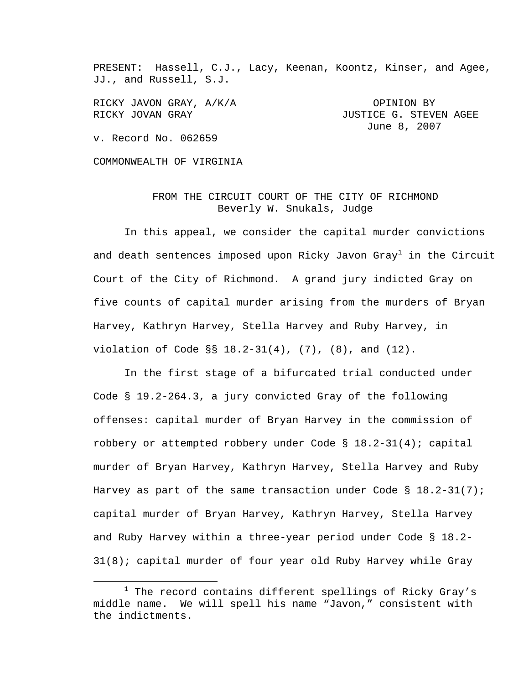PRESENT: Hassell, C.J., Lacy, Keenan, Koontz, Kinser, and Agee, JJ., and Russell, S.J.

RICKY JAVON GRAY, A/K/A OPINION BY

RICKY JOVAN GRAY **JUSTICE G. STEVEN AGEE** June 8, 2007

v. Record No. 062659

COMMONWEALTH OF VIRGINIA

FROM THE CIRCUIT COURT OF THE CITY OF RICHMOND Beverly W. Snukals, Judge

 In this appeal, we consider the capital murder convictions and death sentences imposed upon Ricky Javon Gray $^1$  in the Circuit Court of the City of Richmond. A grand jury indicted Gray on five counts of capital murder arising from the murders of Bryan Harvey, Kathryn Harvey, Stella Harvey and Ruby Harvey, in violation of Code §§ 18.2-31(4), (7), (8), and (12).

In the first stage of a bifurcated trial conducted under Code § 19.2-264.3, a jury convicted Gray of the following offenses: capital murder of Bryan Harvey in the commission of robbery or attempted robbery under Code § 18.2-31(4); capital murder of Bryan Harvey, Kathryn Harvey, Stella Harvey and Ruby Harvey as part of the same transaction under Code  $\S$  18.2-31(7); capital murder of Bryan Harvey, Kathryn Harvey, Stella Harvey and Ruby Harvey within a three-year period under Code § 18.2- 31(8); capital murder of four year old Ruby Harvey while Gray

 $\begin{array}{c}\n\hline\n\hline\n\hline\n\hline\n\hline\n\end{array}$  $1$  The record contains different spellings of Ricky Gray's middle name. We will spell his name "Javon," consistent with the indictments.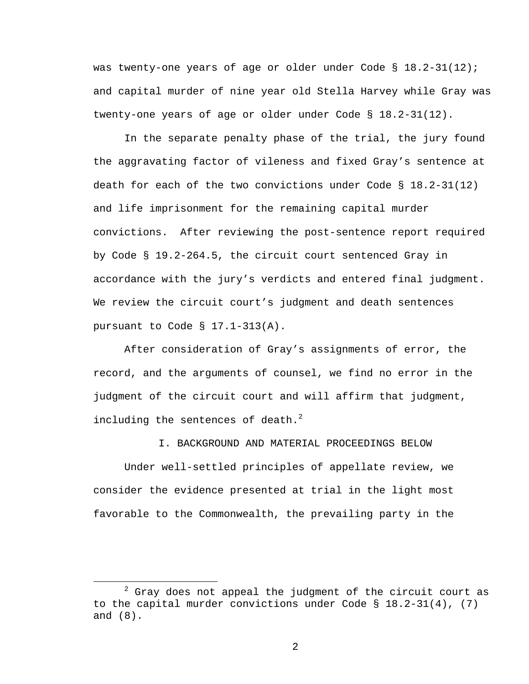was twenty-one years of age or older under Code  $\S$  18.2-31(12); and capital murder of nine year old Stella Harvey while Gray was twenty-one years of age or older under Code § 18.2-31(12).

In the separate penalty phase of the trial, the jury found the aggravating factor of vileness and fixed Gray's sentence at death for each of the two convictions under Code  $\S$  18.2-31(12) and life imprisonment for the remaining capital murder convictions. After reviewing the post-sentence report required by Code § 19.2-264.5, the circuit court sentenced Gray in accordance with the jury's verdicts and entered final judgment. We review the circuit court's judgment and death sentences pursuant to Code § 17.1-313(A).

After consideration of Gray's assignments of error, the record, and the arguments of counsel, we find no error in the judgment of the circuit court and will affirm that judgment, including the sentences of death. $^{2}$ 

I. BACKGROUND AND MATERIAL PROCEEDINGS BELOW

Under well-settled principles of appellate review, we consider the evidence presented at trial in the light most favorable to the Commonwealth, the prevailing party in the

 $\frac{1}{2}$  $2$  Gray does not appeal the judgment of the circuit court as to the capital murder convictions under Code § 18.2-31(4), (7) and (8).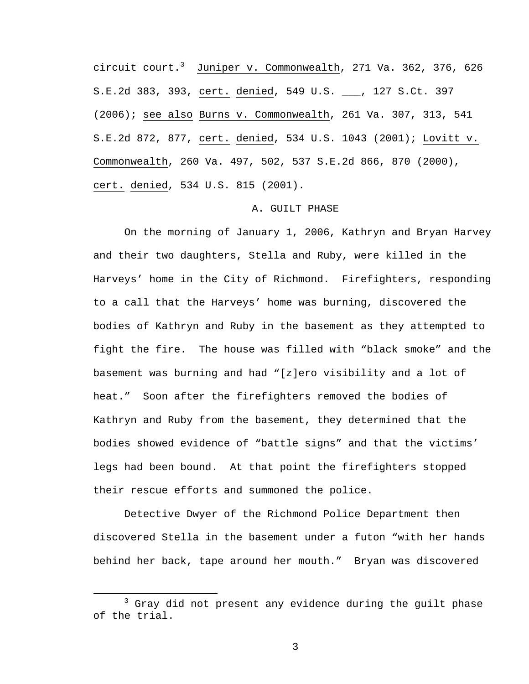circuit court.<sup>3</sup> Juniper v. Commonwealth, 271 Va. 362, 376, 626 S.E.2d 383, 393, cert. denied, 549 U.S. \_\_\_, 127 S.Ct. 397 (2006); see also Burns v. Commonwealth, 261 Va. 307, 313, 541 S.E.2d 872, 877, cert. denied, 534 U.S. 1043 (2001); Lovitt v. Commonwealth, 260 Va. 497, 502, 537 S.E.2d 866, 870 (2000), cert. denied, 534 U.S. 815 (2001).

### A. GUILT PHASE

On the morning of January 1, 2006, Kathryn and Bryan Harvey and their two daughters, Stella and Ruby, were killed in the Harveys' home in the City of Richmond. Firefighters, responding to a call that the Harveys' home was burning, discovered the bodies of Kathryn and Ruby in the basement as they attempted to fight the fire. The house was filled with "black smoke" and the basement was burning and had "[z]ero visibility and a lot of heat." Soon after the firefighters removed the bodies of Kathryn and Ruby from the basement, they determined that the bodies showed evidence of "battle signs" and that the victims' legs had been bound. At that point the firefighters stopped their rescue efforts and summoned the police.

Detective Dwyer of the Richmond Police Department then discovered Stella in the basement under a futon "with her hands behind her back, tape around her mouth." Bryan was discovered

 $\overline{\phantom{a}}$  3  $3$  Gray did not present any evidence during the guilt phase of the trial.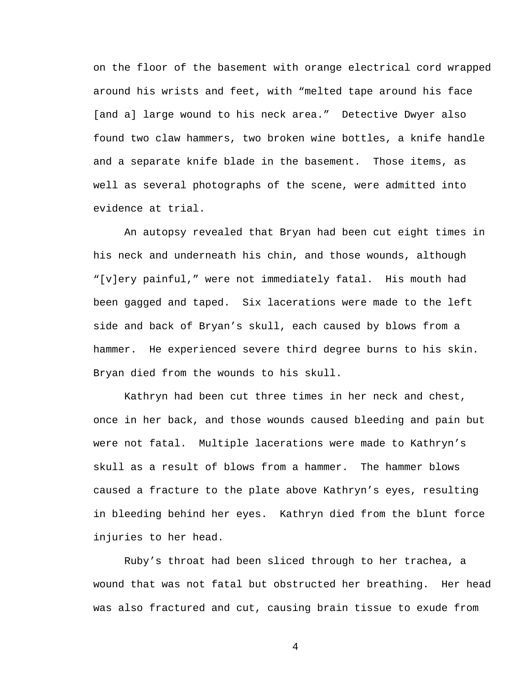on the floor of the basement with orange electrical cord wrapped around his wrists and feet, with "melted tape around his face [and a] large wound to his neck area." Detective Dwyer also found two claw hammers, two broken wine bottles, a knife handle and a separate knife blade in the basement. Those items, as well as several photographs of the scene, were admitted into evidence at trial.

An autopsy revealed that Bryan had been cut eight times in his neck and underneath his chin, and those wounds, although "[v]ery painful," were not immediately fatal. His mouth had been gagged and taped. Six lacerations were made to the left side and back of Bryan's skull, each caused by blows from a hammer. He experienced severe third degree burns to his skin. Bryan died from the wounds to his skull.

Kathryn had been cut three times in her neck and chest, once in her back, and those wounds caused bleeding and pain but were not fatal. Multiple lacerations were made to Kathryn's skull as a result of blows from a hammer. The hammer blows caused a fracture to the plate above Kathryn's eyes, resulting in bleeding behind her eyes. Kathryn died from the blunt force injuries to her head.

Ruby's throat had been sliced through to her trachea, a wound that was not fatal but obstructed her breathing. Her head was also fractured and cut, causing brain tissue to exude from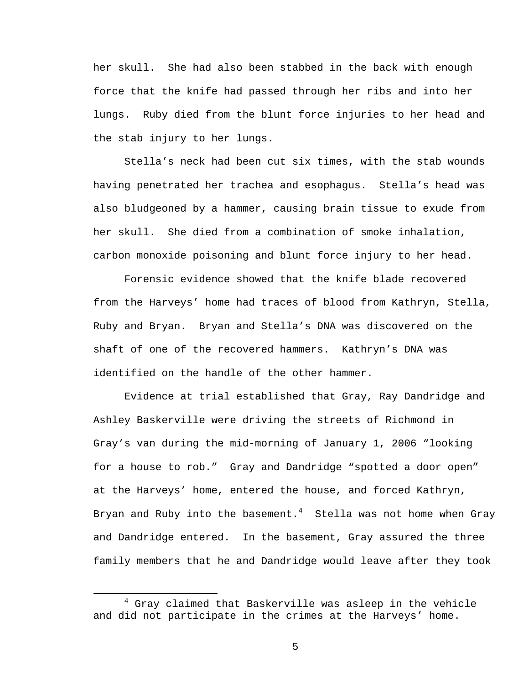her skull. She had also been stabbed in the back with enough force that the knife had passed through her ribs and into her lungs. Ruby died from the blunt force injuries to her head and the stab injury to her lungs.

Stella's neck had been cut six times, with the stab wounds having penetrated her trachea and esophagus. Stella's head was also bludgeoned by a hammer, causing brain tissue to exude from her skull. She died from a combination of smoke inhalation, carbon monoxide poisoning and blunt force injury to her head.

Forensic evidence showed that the knife blade recovered from the Harveys' home had traces of blood from Kathryn, Stella, Ruby and Bryan. Bryan and Stella's DNA was discovered on the shaft of one of the recovered hammers. Kathryn's DNA was identified on the handle of the other hammer.

Evidence at trial established that Gray, Ray Dandridge and Ashley Baskerville were driving the streets of Richmond in Gray's van during the mid-morning of January 1, 2006 "looking for a house to rob." Gray and Dandridge "spotted a door open" at the Harveys' home, entered the house, and forced Kathryn, Bryan and Ruby into the basement. $^4$   $\,$  Stella was not home when Gray and Dandridge entered. In the basement, Gray assured the three family members that he and Dandridge would leave after they took

 $\overline{\phantom{a}}$  $4$  Gray claimed that Baskerville was asleep in the vehicle and did not participate in the crimes at the Harveys' home.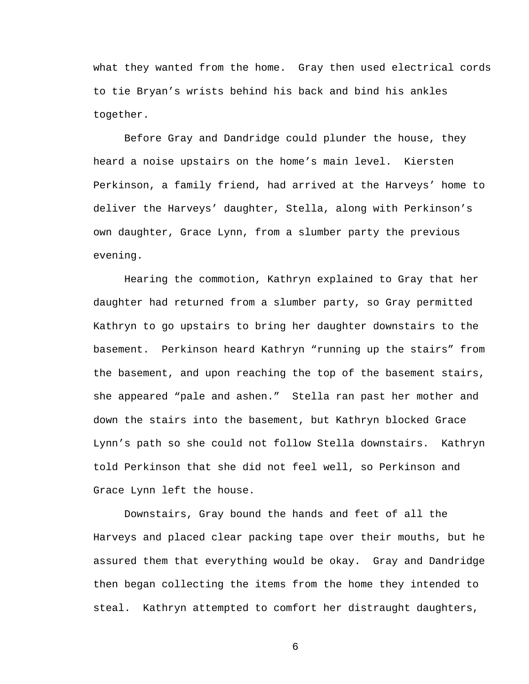what they wanted from the home. Gray then used electrical cords to tie Bryan's wrists behind his back and bind his ankles together.

Before Gray and Dandridge could plunder the house, they heard a noise upstairs on the home's main level. Kiersten Perkinson, a family friend, had arrived at the Harveys' home to deliver the Harveys' daughter, Stella, along with Perkinson's own daughter, Grace Lynn, from a slumber party the previous evening.

Hearing the commotion, Kathryn explained to Gray that her daughter had returned from a slumber party, so Gray permitted Kathryn to go upstairs to bring her daughter downstairs to the basement. Perkinson heard Kathryn "running up the stairs" from the basement, and upon reaching the top of the basement stairs, she appeared "pale and ashen." Stella ran past her mother and down the stairs into the basement, but Kathryn blocked Grace Lynn's path so she could not follow Stella downstairs. Kathryn told Perkinson that she did not feel well, so Perkinson and Grace Lynn left the house.

Downstairs, Gray bound the hands and feet of all the Harveys and placed clear packing tape over their mouths, but he assured them that everything would be okay. Gray and Dandridge then began collecting the items from the home they intended to steal. Kathryn attempted to comfort her distraught daughters,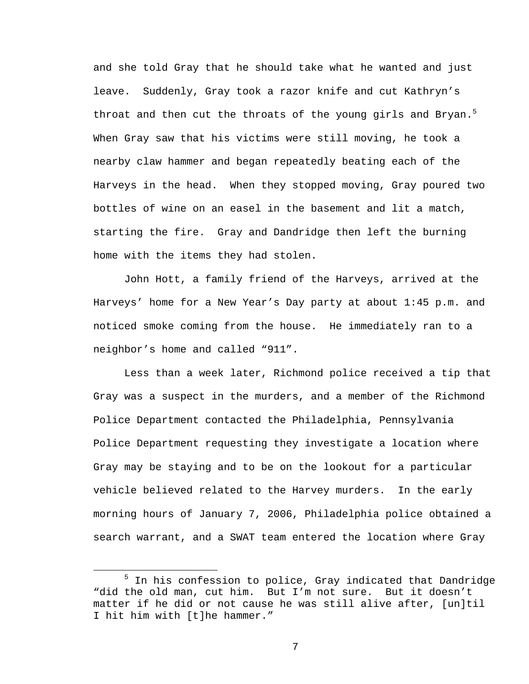and she told Gray that he should take what he wanted and just leave. Suddenly, Gray took a razor knife and cut Kathryn's throat and then cut the throats of the young girls and Bryan.<sup>5</sup> When Gray saw that his victims were still moving, he took a nearby claw hammer and began repeatedly beating each of the Harveys in the head. When they stopped moving, Gray poured two bottles of wine on an easel in the basement and lit a match, starting the fire. Gray and Dandridge then left the burning home with the items they had stolen.

John Hott, a family friend of the Harveys, arrived at the Harveys' home for a New Year's Day party at about 1:45 p.m. and noticed smoke coming from the house. He immediately ran to a neighbor's home and called "911".

Less than a week later, Richmond police received a tip that Gray was a suspect in the murders, and a member of the Richmond Police Department contacted the Philadelphia, Pennsylvania Police Department requesting they investigate a location where Gray may be staying and to be on the lookout for a particular vehicle believed related to the Harvey murders. In the early morning hours of January 7, 2006, Philadelphia police obtained a search warrant, and a SWAT team entered the location where Gray

 $\frac{1}{5}$  $5$  In his confession to police, Gray indicated that Dandridge "did the old man, cut him. But I'm not sure. But it doesn't matter if he did or not cause he was still alive after, [un]til I hit him with [t]he hammer."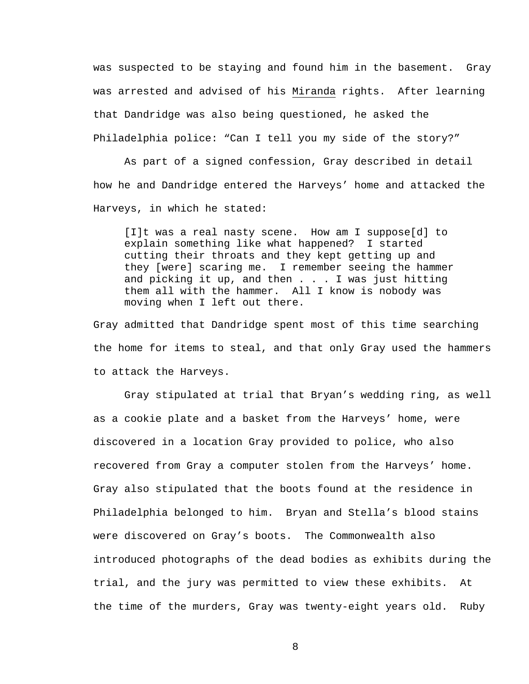was suspected to be staying and found him in the basement. Gray was arrested and advised of his Miranda rights. After learning that Dandridge was also being questioned, he asked the Philadelphia police: "Can I tell you my side of the story?"

As part of a signed confession, Gray described in detail how he and Dandridge entered the Harveys' home and attacked the Harveys, in which he stated:

[I]t was a real nasty scene. How am I suppose[d] to explain something like what happened? I started cutting their throats and they kept getting up and they [were] scaring me. I remember seeing the hammer and picking it up, and then . . . I was just hitting them all with the hammer. All I know is nobody was moving when I left out there.

Gray admitted that Dandridge spent most of this time searching the home for items to steal, and that only Gray used the hammers to attack the Harveys.

Gray stipulated at trial that Bryan's wedding ring, as well as a cookie plate and a basket from the Harveys' home, were discovered in a location Gray provided to police, who also recovered from Gray a computer stolen from the Harveys' home. Gray also stipulated that the boots found at the residence in Philadelphia belonged to him. Bryan and Stella's blood stains were discovered on Gray's boots. The Commonwealth also introduced photographs of the dead bodies as exhibits during the trial, and the jury was permitted to view these exhibits. At the time of the murders, Gray was twenty-eight years old. Ruby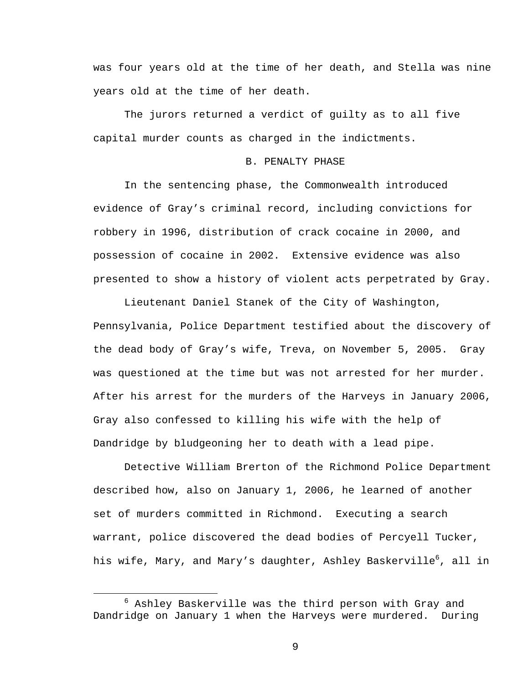was four years old at the time of her death, and Stella was nine years old at the time of her death.

The jurors returned a verdict of guilty as to all five capital murder counts as charged in the indictments.

## B. PENALTY PHASE

 In the sentencing phase, the Commonwealth introduced evidence of Gray's criminal record, including convictions for robbery in 1996, distribution of crack cocaine in 2000, and possession of cocaine in 2002. Extensive evidence was also presented to show a history of violent acts perpetrated by Gray.

 Lieutenant Daniel Stanek of the City of Washington, Pennsylvania, Police Department testified about the discovery of the dead body of Gray's wife, Treva, on November 5, 2005. Gray was questioned at the time but was not arrested for her murder. After his arrest for the murders of the Harveys in January 2006, Gray also confessed to killing his wife with the help of Dandridge by bludgeoning her to death with a lead pipe.

 Detective William Brerton of the Richmond Police Department described how, also on January 1, 2006, he learned of another set of murders committed in Richmond. Executing a search warrant, police discovered the dead bodies of Percyell Tucker, his wife, Mary, and Mary's daughter, Ashley Baskerville<sup>6</sup>, all in

<sup>6</sup>  $6$  Ashley Baskerville was the third person with Gray and Dandridge on January 1 when the Harveys were murdered. During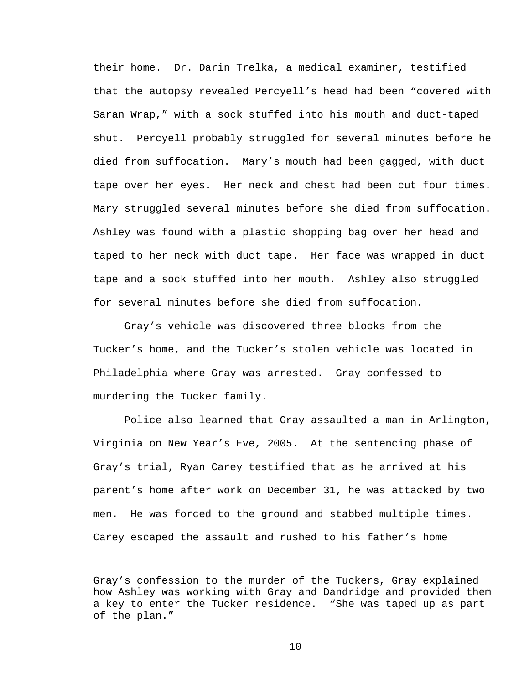their home. Dr. Darin Trelka, a medical examiner, testified that the autopsy revealed Percyell's head had been "covered with Saran Wrap," with a sock stuffed into his mouth and duct-taped shut. Percyell probably struggled for several minutes before he died from suffocation. Mary's mouth had been gagged, with duct tape over her eyes. Her neck and chest had been cut four times. Mary struggled several minutes before she died from suffocation. Ashley was found with a plastic shopping bag over her head and taped to her neck with duct tape. Her face was wrapped in duct tape and a sock stuffed into her mouth. Ashley also struggled for several minutes before she died from suffocation.

Gray's vehicle was discovered three blocks from the Tucker's home, and the Tucker's stolen vehicle was located in Philadelphia where Gray was arrested. Gray confessed to murdering the Tucker family.

Police also learned that Gray assaulted a man in Arlington, Virginia on New Year's Eve, 2005. At the sentencing phase of Gray's trial, Ryan Carey testified that as he arrived at his parent's home after work on December 31, he was attacked by two men. He was forced to the ground and stabbed multiple times. Carey escaped the assault and rushed to his father's home

 $\overline{a}$ 

Gray's confession to the murder of the Tuckers, Gray explained how Ashley was working with Gray and Dandridge and provided them a key to enter the Tucker residence. "She was taped up as part of the plan."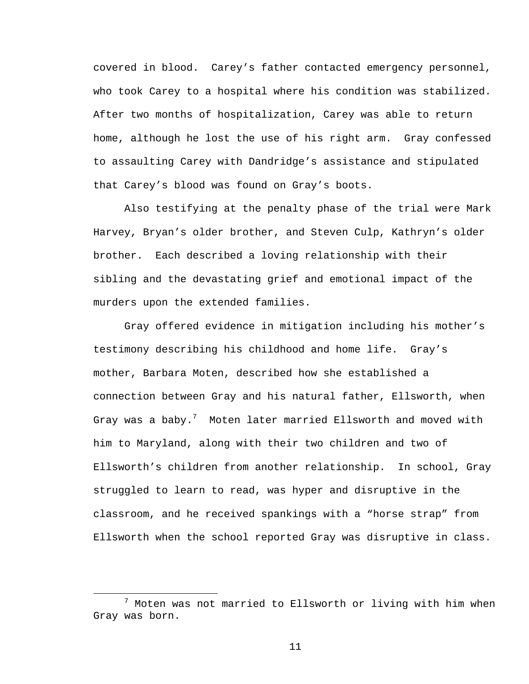covered in blood. Carey's father contacted emergency personnel, who took Carey to a hospital where his condition was stabilized. After two months of hospitalization, Carey was able to return home, although he lost the use of his right arm. Gray confessed to assaulting Carey with Dandridge's assistance and stipulated that Carey's blood was found on Gray's boots.

Also testifying at the penalty phase of the trial were Mark Harvey, Bryan's older brother, and Steven Culp, Kathryn's older brother. Each described a loving relationship with their sibling and the devastating grief and emotional impact of the murders upon the extended families.

Gray offered evidence in mitigation including his mother's testimony describing his childhood and home life. Gray's mother, Barbara Moten, described how she established a connection between Gray and his natural father, Ellsworth, when Gray was a baby. $^7$  –Moten later married Ellsworth and moved with him to Maryland, along with their two children and two of Ellsworth's children from another relationship. In school, Gray struggled to learn to read, was hyper and disruptive in the classroom, and he received spankings with a "horse strap" from Ellsworth when the school reported Gray was disruptive in class.

 $\overline{7}$  $^7$  Moten was not married to Ellsworth or living with him when Gray was born.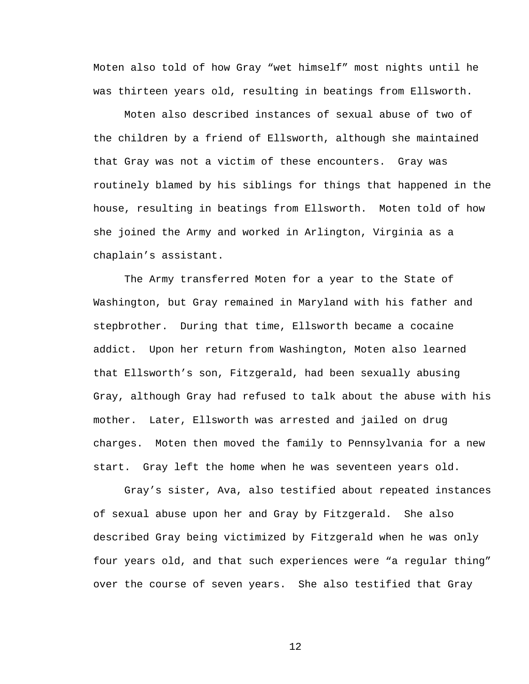Moten also told of how Gray "wet himself" most nights until he was thirteen years old, resulting in beatings from Ellsworth.

Moten also described instances of sexual abuse of two of the children by a friend of Ellsworth, although she maintained that Gray was not a victim of these encounters. Gray was routinely blamed by his siblings for things that happened in the house, resulting in beatings from Ellsworth. Moten told of how she joined the Army and worked in Arlington, Virginia as a chaplain's assistant.

The Army transferred Moten for a year to the State of Washington, but Gray remained in Maryland with his father and stepbrother. During that time, Ellsworth became a cocaine addict. Upon her return from Washington, Moten also learned that Ellsworth's son, Fitzgerald, had been sexually abusing Gray, although Gray had refused to talk about the abuse with his mother. Later, Ellsworth was arrested and jailed on drug charges. Moten then moved the family to Pennsylvania for a new start. Gray left the home when he was seventeen years old.

Gray's sister, Ava, also testified about repeated instances of sexual abuse upon her and Gray by Fitzgerald. She also described Gray being victimized by Fitzgerald when he was only four years old, and that such experiences were "a regular thing" over the course of seven years. She also testified that Gray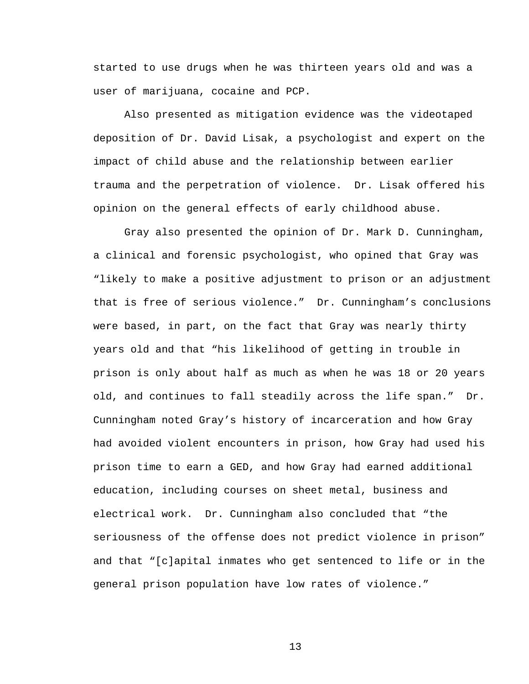started to use drugs when he was thirteen years old and was a user of marijuana, cocaine and PCP.

Also presented as mitigation evidence was the videotaped deposition of Dr. David Lisak, a psychologist and expert on the impact of child abuse and the relationship between earlier trauma and the perpetration of violence. Dr. Lisak offered his opinion on the general effects of early childhood abuse.

Gray also presented the opinion of Dr. Mark D. Cunningham, a clinical and forensic psychologist, who opined that Gray was "likely to make a positive adjustment to prison or an adjustment that is free of serious violence." Dr. Cunningham's conclusions were based, in part, on the fact that Gray was nearly thirty years old and that "his likelihood of getting in trouble in prison is only about half as much as when he was 18 or 20 years old, and continues to fall steadily across the life span." Dr. Cunningham noted Gray's history of incarceration and how Gray had avoided violent encounters in prison, how Gray had used his prison time to earn a GED, and how Gray had earned additional education, including courses on sheet metal, business and electrical work. Dr. Cunningham also concluded that "the seriousness of the offense does not predict violence in prison" and that "[c]apital inmates who get sentenced to life or in the general prison population have low rates of violence."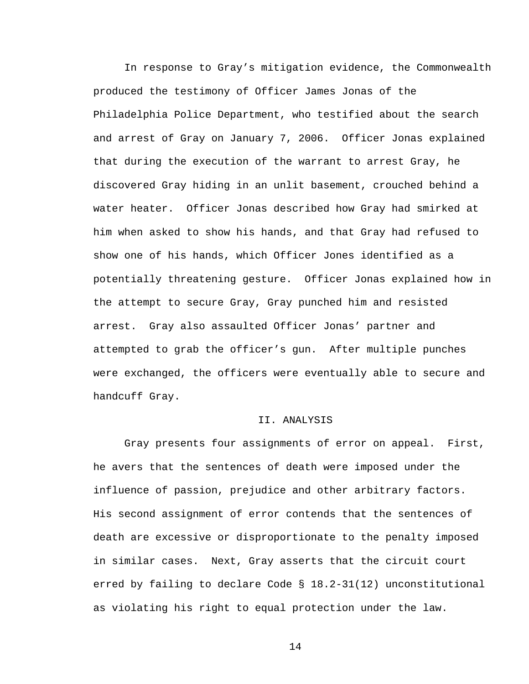In response to Gray's mitigation evidence, the Commonwealth produced the testimony of Officer James Jonas of the Philadelphia Police Department, who testified about the search and arrest of Gray on January 7, 2006. Officer Jonas explained that during the execution of the warrant to arrest Gray, he discovered Gray hiding in an unlit basement, crouched behind a water heater. Officer Jonas described how Gray had smirked at him when asked to show his hands, and that Gray had refused to show one of his hands, which Officer Jones identified as a potentially threatening gesture. Officer Jonas explained how in the attempt to secure Gray, Gray punched him and resisted arrest. Gray also assaulted Officer Jonas' partner and attempted to grab the officer's gun. After multiple punches were exchanged, the officers were eventually able to secure and handcuff Gray.

#### II. ANALYSIS

 Gray presents four assignments of error on appeal. First, he avers that the sentences of death were imposed under the influence of passion, prejudice and other arbitrary factors. His second assignment of error contends that the sentences of death are excessive or disproportionate to the penalty imposed in similar cases. Next, Gray asserts that the circuit court erred by failing to declare Code § 18.2-31(12) unconstitutional as violating his right to equal protection under the law.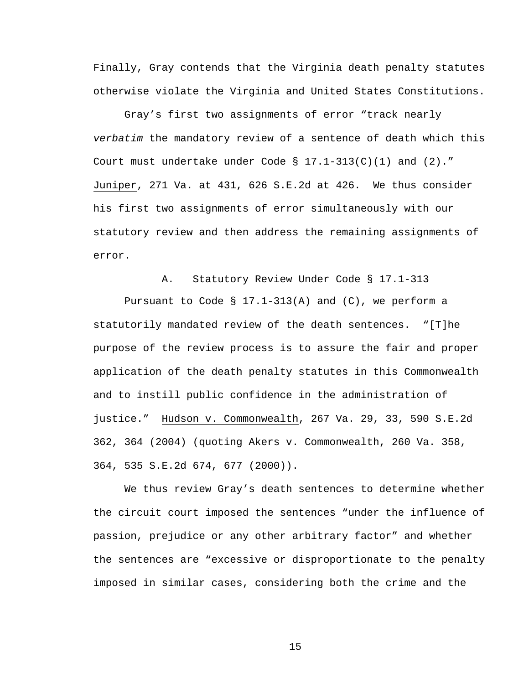Finally, Gray contends that the Virginia death penalty statutes otherwise violate the Virginia and United States Constitutions.

 Gray's first two assignments of error "track nearly *verbatim* the mandatory review of a sentence of death which this Court must undertake under Code §  $17.1-313(C)(1)$  and  $(2)$ ." Juniper, 271 Va. at 431, 626 S.E.2d at 426. We thus consider his first two assignments of error simultaneously with our statutory review and then address the remaining assignments of error.

A. Statutory Review Under Code § 17.1-313

Pursuant to Code §  $17.1-313(A)$  and (C), we perform a statutorily mandated review of the death sentences. "[T]he purpose of the review process is to assure the fair and proper application of the death penalty statutes in this Commonwealth and to instill public confidence in the administration of justice." Hudson v. Commonwealth, 267 Va. 29, 33, 590 S.E.2d 362, 364 (2004) (quoting Akers v. Commonwealth, 260 Va. 358, 364, 535 S.E.2d 674, 677 (2000)).

 We thus review Gray's death sentences to determine whether the circuit court imposed the sentences "under the influence of passion, prejudice or any other arbitrary factor" and whether the sentences are "excessive or disproportionate to the penalty imposed in similar cases, considering both the crime and the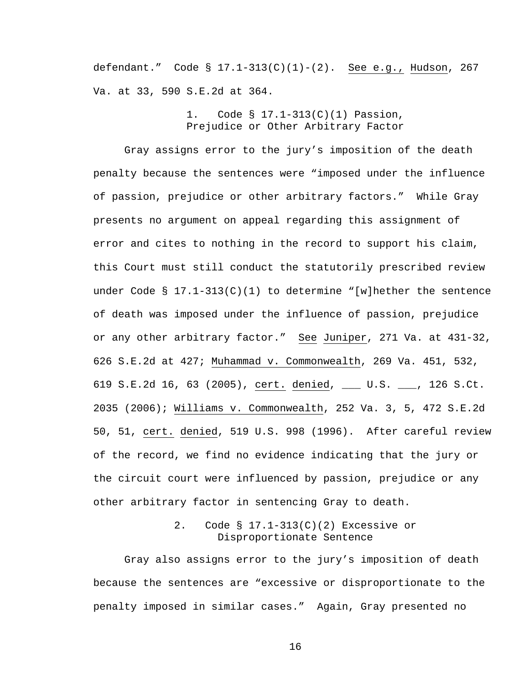defendant." Code § 17.1-313(C)(1)-(2). See e.g., Hudson, 267 Va. at 33, 590 S.E.2d at 364.

> 1. Code § 17.1-313(C)(1) Passion, Prejudice or Other Arbitrary Factor

 Gray assigns error to the jury's imposition of the death penalty because the sentences were "imposed under the influence of passion, prejudice or other arbitrary factors." While Gray presents no argument on appeal regarding this assignment of error and cites to nothing in the record to support his claim, this Court must still conduct the statutorily prescribed review under Code §  $17.1-313(C)(1)$  to determine "[w]hether the sentence of death was imposed under the influence of passion, prejudice or any other arbitrary factor." See Juniper, 271 Va. at 431-32, 626 S.E.2d at 427; Muhammad v. Commonwealth, 269 Va. 451, 532, 619 S.E.2d 16, 63 (2005), cert. denied, \_\_\_ U.S. \_\_\_, 126 S.Ct. 2035 (2006); Williams v. Commonwealth, 252 Va. 3, 5, 472 S.E.2d 50, 51, cert. denied, 519 U.S. 998 (1996). After careful review of the record, we find no evidence indicating that the jury or the circuit court were influenced by passion, prejudice or any other arbitrary factor in sentencing Gray to death.

## 2. Code § 17.1-313(C)(2) Excessive or Disproportionate Sentence

 Gray also assigns error to the jury's imposition of death because the sentences are "excessive or disproportionate to the penalty imposed in similar cases." Again, Gray presented no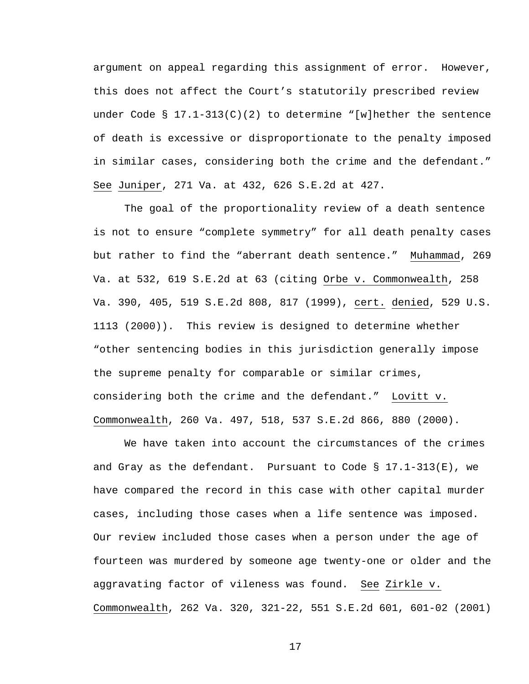argument on appeal regarding this assignment of error. However, this does not affect the Court's statutorily prescribed review under Code §  $17.1-313(C)(2)$  to determine "[w]hether the sentence of death is excessive or disproportionate to the penalty imposed in similar cases, considering both the crime and the defendant." See Juniper, 271 Va. at 432, 626 S.E.2d at 427.

 The goal of the proportionality review of a death sentence is not to ensure "complete symmetry" for all death penalty cases but rather to find the "aberrant death sentence." Muhammad, 269 Va. at 532, 619 S.E.2d at 63 (citing Orbe v. Commonwealth, 258 Va. 390, 405, 519 S.E.2d 808, 817 (1999), cert. denied, 529 U.S. 1113 (2000)). This review is designed to determine whether "other sentencing bodies in this jurisdiction generally impose the supreme penalty for comparable or similar crimes, considering both the crime and the defendant." Lovitt v. Commonwealth, 260 Va. 497, 518, 537 S.E.2d 866, 880 (2000).

 We have taken into account the circumstances of the crimes and Gray as the defendant. Pursuant to Code  $\S$  17.1-313(E), we have compared the record in this case with other capital murder cases, including those cases when a life sentence was imposed. Our review included those cases when a person under the age of fourteen was murdered by someone age twenty-one or older and the aggravating factor of vileness was found. See Zirkle v. Commonwealth, 262 Va. 320, 321-22, 551 S.E.2d 601, 601-02 (2001)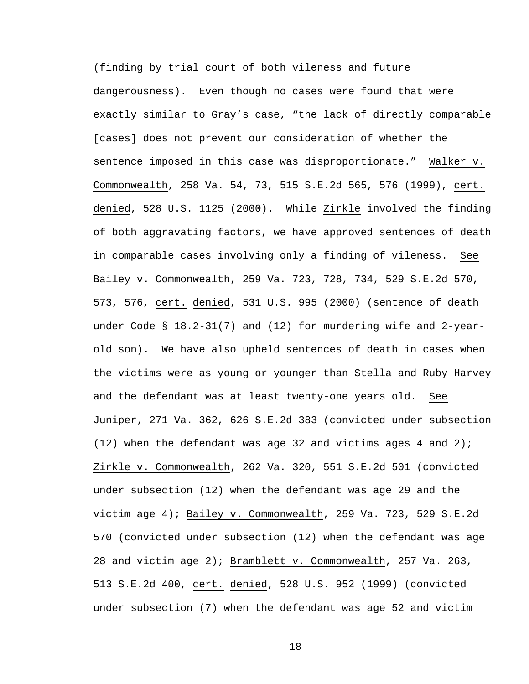(finding by trial court of both vileness and future dangerousness). Even though no cases were found that were exactly similar to Gray's case, "the lack of directly comparable [cases] does not prevent our consideration of whether the sentence imposed in this case was disproportionate." Walker v. Commonwealth, 258 Va. 54, 73, 515 S.E.2d 565, 576 (1999), cert. denied, 528 U.S. 1125 (2000). While Zirkle involved the finding of both aggravating factors, we have approved sentences of death in comparable cases involving only a finding of vileness. See Bailey v. Commonwealth, 259 Va. 723, 728, 734, 529 S.E.2d 570, 573, 576, cert. denied, 531 U.S. 995 (2000) (sentence of death under Code § 18.2-31(7) and (12) for murdering wife and 2-yearold son). We have also upheld sentences of death in cases when the victims were as young or younger than Stella and Ruby Harvey and the defendant was at least twenty-one years old. See Juniper, 271 Va. 362, 626 S.E.2d 383 (convicted under subsection  $(12)$  when the defendant was age 32 and victims ages 4 and 2); Zirkle v. Commonwealth, 262 Va. 320, 551 S.E.2d 501 (convicted under subsection (12) when the defendant was age 29 and the victim age 4); Bailey v. Commonwealth, 259 Va. 723, 529 S.E.2d 570 (convicted under subsection (12) when the defendant was age 28 and victim age 2); Bramblett v. Commonwealth, 257 Va. 263, 513 S.E.2d 400, cert. denied, 528 U.S. 952 (1999) (convicted under subsection (7) when the defendant was age 52 and victim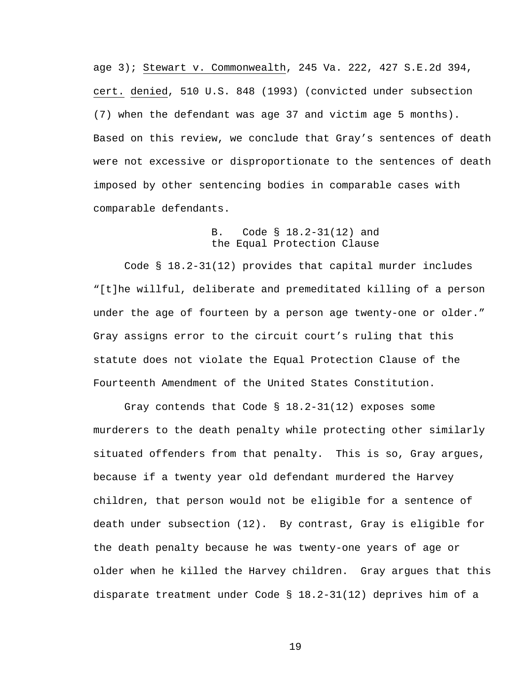age 3); Stewart v. Commonwealth, 245 Va. 222, 427 S.E.2d 394, cert. denied, 510 U.S. 848 (1993) (convicted under subsection (7) when the defendant was age 37 and victim age 5 months). Based on this review, we conclude that Gray's sentences of death were not excessive or disproportionate to the sentences of death imposed by other sentencing bodies in comparable cases with comparable defendants.

## B. Code § 18.2-31(12) and the Equal Protection Clause

 Code § 18.2-31(12) provides that capital murder includes "[t]he willful, deliberate and premeditated killing of a person under the age of fourteen by a person age twenty-one or older." Gray assigns error to the circuit court's ruling that this statute does not violate the Equal Protection Clause of the Fourteenth Amendment of the United States Constitution.

 Gray contends that Code § 18.2-31(12) exposes some murderers to the death penalty while protecting other similarly situated offenders from that penalty. This is so, Gray argues, because if a twenty year old defendant murdered the Harvey children, that person would not be eligible for a sentence of death under subsection (12). By contrast, Gray is eligible for the death penalty because he was twenty-one years of age or older when he killed the Harvey children. Gray argues that this disparate treatment under Code § 18.2-31(12) deprives him of a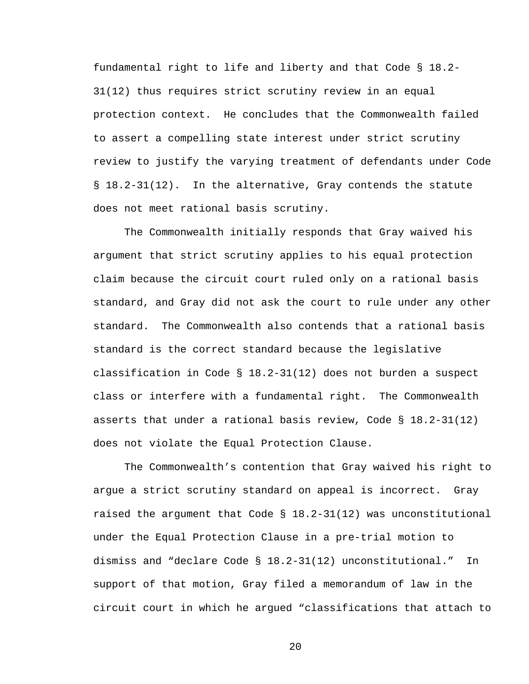fundamental right to life and liberty and that Code § 18.2- 31(12) thus requires strict scrutiny review in an equal protection context. He concludes that the Commonwealth failed to assert a compelling state interest under strict scrutiny review to justify the varying treatment of defendants under Code § 18.2-31(12). In the alternative, Gray contends the statute does not meet rational basis scrutiny.

 The Commonwealth initially responds that Gray waived his argument that strict scrutiny applies to his equal protection claim because the circuit court ruled only on a rational basis standard, and Gray did not ask the court to rule under any other standard. The Commonwealth also contends that a rational basis standard is the correct standard because the legislative classification in Code § 18.2-31(12) does not burden a suspect class or interfere with a fundamental right. The Commonwealth asserts that under a rational basis review, Code § 18.2-31(12) does not violate the Equal Protection Clause.

 The Commonwealth's contention that Gray waived his right to argue a strict scrutiny standard on appeal is incorrect. Gray raised the argument that Code § 18.2-31(12) was unconstitutional under the Equal Protection Clause in a pre-trial motion to dismiss and "declare Code § 18.2-31(12) unconstitutional." In support of that motion, Gray filed a memorandum of law in the circuit court in which he argued "classifications that attach to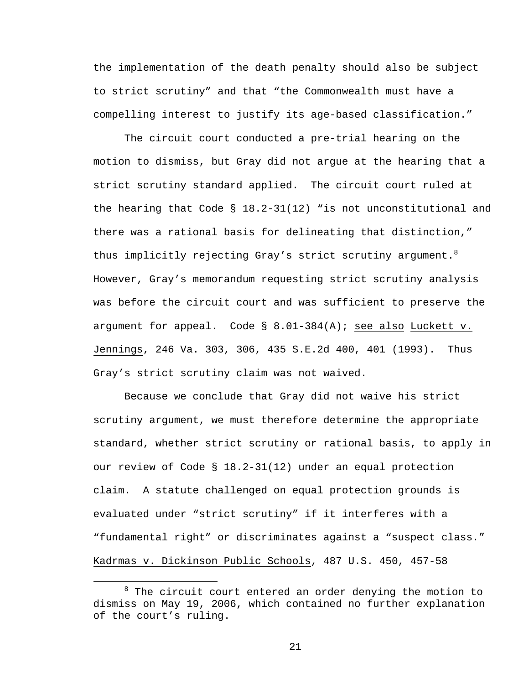the implementation of the death penalty should also be subject to strict scrutiny" and that "the Commonwealth must have a compelling interest to justify its age-based classification."

 The circuit court conducted a pre-trial hearing on the motion to dismiss, but Gray did not argue at the hearing that a strict scrutiny standard applied. The circuit court ruled at the hearing that Code § 18.2-31(12) "is not unconstitutional and there was a rational basis for delineating that distinction," thus implicitly rejecting Gray's strict scrutiny argument.  $8$ However, Gray's memorandum requesting strict scrutiny analysis was before the circuit court and was sufficient to preserve the argument for appeal. Code  $\S$  8.01-384(A); see also Luckett v. Jennings, 246 Va. 303, 306, 435 S.E.2d 400, 401 (1993). Thus Gray's strict scrutiny claim was not waived.

 Because we conclude that Gray did not waive his strict scrutiny argument, we must therefore determine the appropriate standard, whether strict scrutiny or rational basis, to apply in our review of Code § 18.2-31(12) under an equal protection claim. A statute challenged on equal protection grounds is evaluated under "strict scrutiny" if it interferes with a "fundamental right" or discriminates against a "suspect class." Kadrmas v. Dickinson Public Schools, 487 U.S. 450, 457-58

 $\overline{a}$  $8$  The circuit court entered an order denying the motion to dismiss on May 19, 2006, which contained no further explanation of the court's ruling.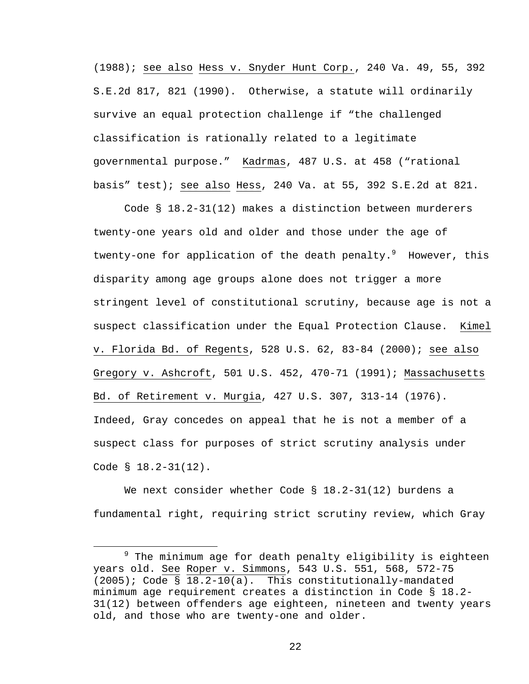(1988); see also Hess v. Snyder Hunt Corp., 240 Va. 49, 55, 392 S.E.2d 817, 821 (1990). Otherwise, a statute will ordinarily survive an equal protection challenge if "the challenged classification is rationally related to a legitimate governmental purpose." Kadrmas, 487 U.S. at 458 ("rational basis" test); see also Hess, 240 Va. at 55, 392 S.E.2d at 821.

 Code § 18.2-31(12) makes a distinction between murderers twenty-one years old and older and those under the age of twenty-one for application of the death penalty.<sup>9</sup> However, this disparity among age groups alone does not trigger a more stringent level of constitutional scrutiny, because age is not a suspect classification under the Equal Protection Clause. Kimel v. Florida Bd. of Regents, 528 U.S. 62, 83-84 (2000); see also Gregory v. Ashcroft, 501 U.S. 452, 470-71 (1991); Massachusetts Bd. of Retirement v. Murgia, 427 U.S. 307, 313-14 (1976). Indeed, Gray concedes on appeal that he is not a member of a suspect class for purposes of strict scrutiny analysis under Code § 18.2-31(12).

We next consider whether Code  $\S$  18.2-31(12) burdens a fundamental right, requiring strict scrutiny review, which Gray

 $\frac{1}{\sqrt{9}}$  $9$  The minimum age for death penalty eligibility is eighteen years old. See Roper v. Simmons, 543 U.S. 551, 568, 572-75 (2005); Code § 18.2-10(a). This constitutionally-mandated minimum age requirement creates a distinction in Code § 18.2- 31(12) between offenders age eighteen, nineteen and twenty years old, and those who are twenty-one and older.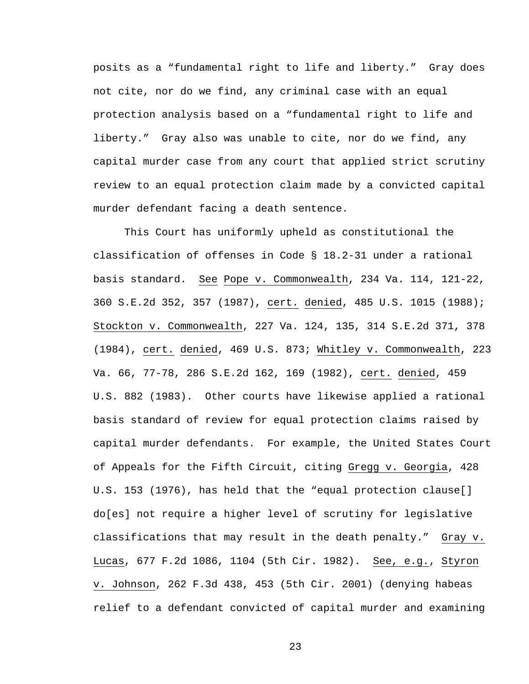posits as a "fundamental right to life and liberty." Gray does not cite, nor do we find, any criminal case with an equal protection analysis based on a "fundamental right to life and liberty." Gray also was unable to cite, nor do we find, any capital murder case from any court that applied strict scrutiny review to an equal protection claim made by a convicted capital murder defendant facing a death sentence.

 This Court has uniformly upheld as constitutional the classification of offenses in Code § 18.2-31 under a rational basis standard. See Pope v. Commonwealth, 234 Va. 114, 121-22, 360 S.E.2d 352, 357 (1987), cert. denied, 485 U.S. 1015 (1988); Stockton v. Commonwealth, 227 Va. 124, 135, 314 S.E.2d 371, 378 (1984), cert. denied, 469 U.S. 873; Whitley v. Commonwealth, 223 Va. 66, 77-78, 286 S.E.2d 162, 169 (1982), cert. denied, 459 U.S. 882 (1983). Other courts have likewise applied a rational basis standard of review for equal protection claims raised by capital murder defendants. For example, the United States Court of Appeals for the Fifth Circuit, citing Gregg v. Georgia, 428 U.S. 153 (1976), has held that the "equal protection clause[] do[es] not require a higher level of scrutiny for legislative classifications that may result in the death penalty." Gray v. Lucas, 677 F.2d 1086, 1104 (5th Cir. 1982). See, e.g., Styron v. Johnson, 262 F.3d 438, 453 (5th Cir. 2001) (denying habeas relief to a defendant convicted of capital murder and examining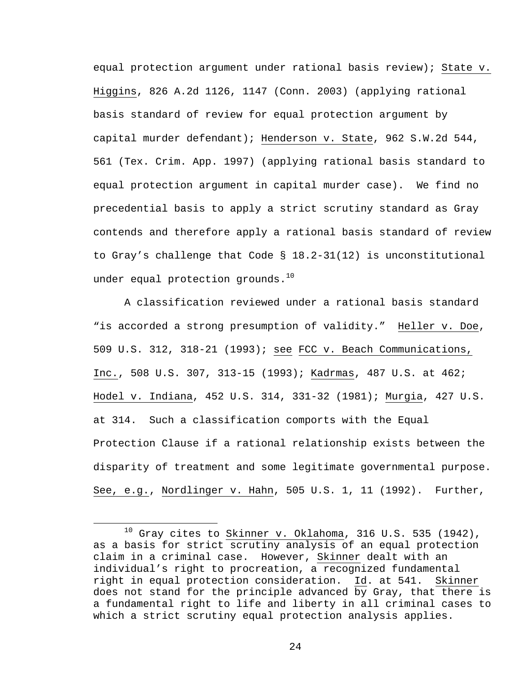equal protection argument under rational basis review); State v. Higgins, 826 A.2d 1126, 1147 (Conn. 2003) (applying rational basis standard of review for equal protection argument by capital murder defendant); Henderson v. State, 962 S.W.2d 544, 561 (Tex. Crim. App. 1997) (applying rational basis standard to equal protection argument in capital murder case). We find no precedential basis to apply a strict scrutiny standard as Gray contends and therefore apply a rational basis standard of review to Gray's challenge that Code § 18.2-31(12) is unconstitutional under equal protection grounds.<sup>10</sup>

 A classification reviewed under a rational basis standard "is accorded a strong presumption of validity." Heller v. Doe, 509 U.S. 312, 318-21 (1993); see FCC v. Beach Communications, Inc., 508 U.S. 307, 313-15 (1993); Kadrmas, 487 U.S. at 462; Hodel v. Indiana, 452 U.S. 314, 331-32 (1981); Murgia, 427 U.S. at 314. Such a classification comports with the Equal Protection Clause if a rational relationship exists between the disparity of treatment and some legitimate governmental purpose. See, e.g., Nordlinger v. Hahn, 505 U.S. 1, 11 (1992). Further,

 $10$  Gray cites to Skinner v. Oklahoma, 316 U.S. 535 (1942), as a basis for strict scrutiny analysis of an equal protection claim in a criminal case. However, Skinner dealt with an individual's right to procreation, a recognized fundamental right in equal protection consideration. Id. at 541. Skinner does not stand for the principle advanced by Gray, that there is a fundamental right to life and liberty in all criminal cases to which a strict scrutiny equal protection analysis applies.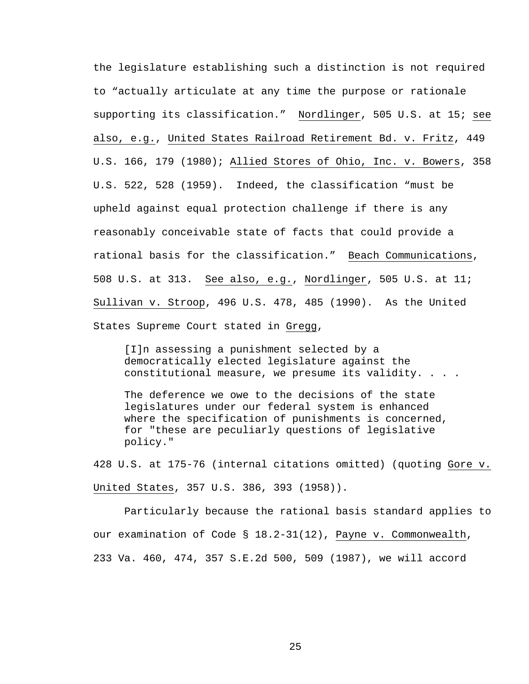the legislature establishing such a distinction is not required to "actually articulate at any time the purpose or rationale supporting its classification." Nordlinger, 505 U.S. at 15; see also, e.g., United States Railroad Retirement Bd. v. Fritz, 449 U.S. 166, 179 (1980); Allied Stores of Ohio, Inc. v. Bowers, 358 U.S. 522, 528 (1959). Indeed, the classification "must be upheld against equal protection challenge if there is any reasonably conceivable state of facts that could provide a rational basis for the classification." Beach Communications, 508 U.S. at 313. See also, e.g., Nordlinger, 505 U.S. at 11; Sullivan v. Stroop, 496 U.S. 478, 485 (1990). As the United States Supreme Court stated in Gregg,

[I]n assessing a punishment selected by a democratically elected legislature against the constitutional measure, we presume its validity. . . .

The deference we owe to the decisions of the state legislatures under our federal system is enhanced where the specification of punishments is concerned, for "these are peculiarly questions of legislative policy."

428 U.S. at 175-76 (internal citations omitted) (quoting Gore v. United States, 357 U.S. 386, 393 (1958)).

 Particularly because the rational basis standard applies to our examination of Code § 18.2-31(12), Payne v. Commonwealth, 233 Va. 460, 474, 357 S.E.2d 500, 509 (1987), we will accord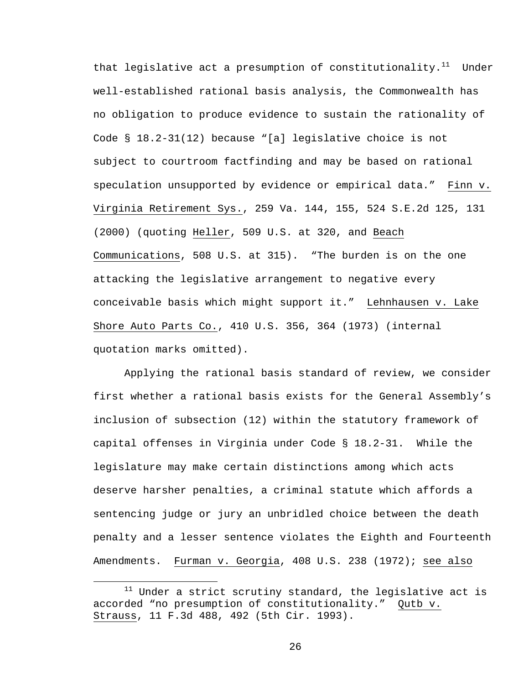that legislative act a presumption of constitutionality. $11$  Under well-established rational basis analysis, the Commonwealth has no obligation to produce evidence to sustain the rationality of Code § 18.2-31(12) because "[a] legislative choice is not subject to courtroom factfinding and may be based on rational speculation unsupported by evidence or empirical data." Finn v. Virginia Retirement Sys., 259 Va. 144, 155, 524 S.E.2d 125, 131 (2000) (quoting Heller, 509 U.S. at 320, and Beach Communications, 508 U.S. at 315). "The burden is on the one attacking the legislative arrangement to negative every conceivable basis which might support it." Lehnhausen v. Lake Shore Auto Parts Co., 410 U.S. 356, 364 (1973) (internal quotation marks omitted).

 Applying the rational basis standard of review, we consider first whether a rational basis exists for the General Assembly's inclusion of subsection (12) within the statutory framework of capital offenses in Virginia under Code § 18.2-31. While the legislature may make certain distinctions among which acts deserve harsher penalties, a criminal statute which affords a sentencing judge or jury an unbridled choice between the death penalty and a lesser sentence violates the Eighth and Fourteenth Amendments. Furman v. Georgia, 408 U.S. 238 (1972); see also

 $11$  Under a strict scrutiny standard, the legislative act is accorded "no presumption of constitutionality." Qutb v. Strauss, 11 F.3d 488, 492 (5th Cir. 1993).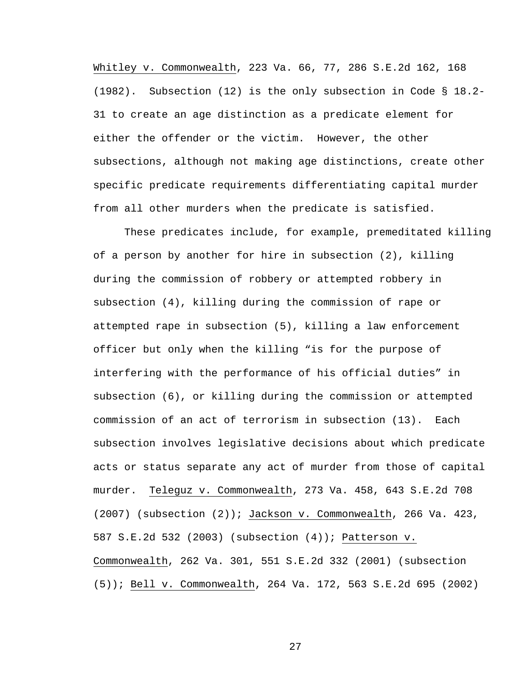Whitley v. Commonwealth, 223 Va. 66, 77, 286 S.E.2d 162, 168 (1982). Subsection (12) is the only subsection in Code § 18.2- 31 to create an age distinction as a predicate element for either the offender or the victim. However, the other subsections, although not making age distinctions, create other specific predicate requirements differentiating capital murder from all other murders when the predicate is satisfied.

 These predicates include, for example, premeditated killing of a person by another for hire in subsection (2), killing during the commission of robbery or attempted robbery in subsection (4), killing during the commission of rape or attempted rape in subsection (5), killing a law enforcement officer but only when the killing "is for the purpose of interfering with the performance of his official duties" in subsection (6), or killing during the commission or attempted commission of an act of terrorism in subsection (13). Each subsection involves legislative decisions about which predicate acts or status separate any act of murder from those of capital murder. Teleguz v. Commonwealth, 273 Va. 458, 643 S.E.2d 708 (2007) (subsection (2)); Jackson v. Commonwealth, 266 Va. 423, 587 S.E.2d 532 (2003) (subsection (4)); Patterson v. Commonwealth, 262 Va. 301, 551 S.E.2d 332 (2001) (subsection (5)); Bell v. Commonwealth, 264 Va. 172, 563 S.E.2d 695 (2002)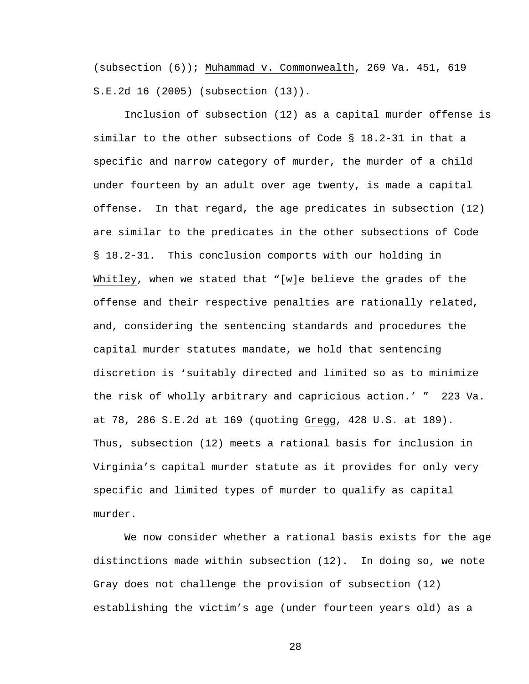(subsection (6)); Muhammad v. Commonwealth, 269 Va. 451, 619 S.E.2d 16 (2005) (subsection (13)).

 Inclusion of subsection (12) as a capital murder offense is similar to the other subsections of Code § 18.2-31 in that a specific and narrow category of murder, the murder of a child under fourteen by an adult over age twenty, is made a capital offense. In that regard, the age predicates in subsection (12) are similar to the predicates in the other subsections of Code § 18.2-31. This conclusion comports with our holding in Whitley, when we stated that "[w]e believe the grades of the offense and their respective penalties are rationally related, and, considering the sentencing standards and procedures the capital murder statutes mandate, we hold that sentencing discretion is 'suitably directed and limited so as to minimize the risk of wholly arbitrary and capricious action.' " 223 Va. at 78, 286 S.E.2d at 169 (quoting Gregg, 428 U.S. at 189). Thus, subsection (12) meets a rational basis for inclusion in Virginia's capital murder statute as it provides for only very specific and limited types of murder to qualify as capital murder.

 We now consider whether a rational basis exists for the age distinctions made within subsection (12). In doing so, we note Gray does not challenge the provision of subsection (12) establishing the victim's age (under fourteen years old) as a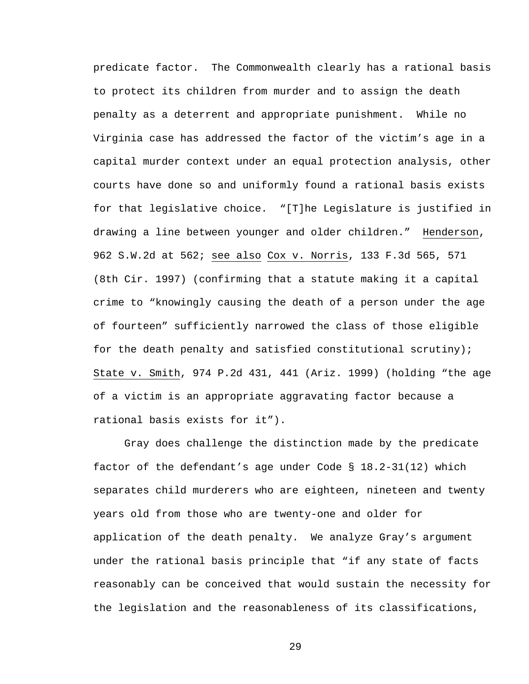predicate factor. The Commonwealth clearly has a rational basis to protect its children from murder and to assign the death penalty as a deterrent and appropriate punishment. While no Virginia case has addressed the factor of the victim's age in a capital murder context under an equal protection analysis, other courts have done so and uniformly found a rational basis exists for that legislative choice. "[T]he Legislature is justified in drawing a line between younger and older children." Henderson, 962 S.W.2d at 562; see also Cox v. Norris, 133 F.3d 565, 571 (8th Cir. 1997) (confirming that a statute making it a capital crime to "knowingly causing the death of a person under the age of fourteen" sufficiently narrowed the class of those eligible for the death penalty and satisfied constitutional scrutiny); State v. Smith, 974 P.2d 431, 441 (Ariz. 1999) (holding "the age of a victim is an appropriate aggravating factor because a rational basis exists for it").

 Gray does challenge the distinction made by the predicate factor of the defendant's age under Code § 18.2-31(12) which separates child murderers who are eighteen, nineteen and twenty years old from those who are twenty-one and older for application of the death penalty. We analyze Gray's argument under the rational basis principle that "if any state of facts reasonably can be conceived that would sustain the necessity for the legislation and the reasonableness of its classifications,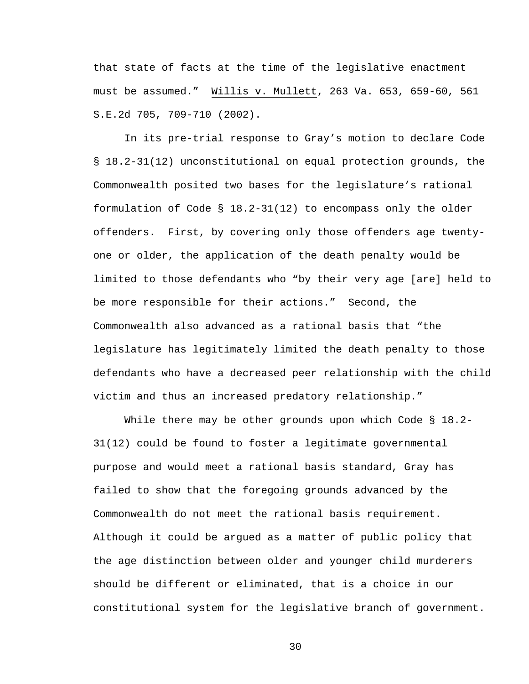that state of facts at the time of the legislative enactment must be assumed." Willis v. Mullett, 263 Va. 653, 659-60, 561 S.E.2d 705, 709-710 (2002).

 In its pre-trial response to Gray's motion to declare Code § 18.2-31(12) unconstitutional on equal protection grounds, the Commonwealth posited two bases for the legislature's rational formulation of Code § 18.2-31(12) to encompass only the older offenders. First, by covering only those offenders age twentyone or older, the application of the death penalty would be limited to those defendants who "by their very age [are] held to be more responsible for their actions." Second, the Commonwealth also advanced as a rational basis that "the legislature has legitimately limited the death penalty to those defendants who have a decreased peer relationship with the child victim and thus an increased predatory relationship."

While there may be other grounds upon which Code § 18.2-31(12) could be found to foster a legitimate governmental purpose and would meet a rational basis standard, Gray has failed to show that the foregoing grounds advanced by the Commonwealth do not meet the rational basis requirement. Although it could be argued as a matter of public policy that the age distinction between older and younger child murderers should be different or eliminated, that is a choice in our constitutional system for the legislative branch of government.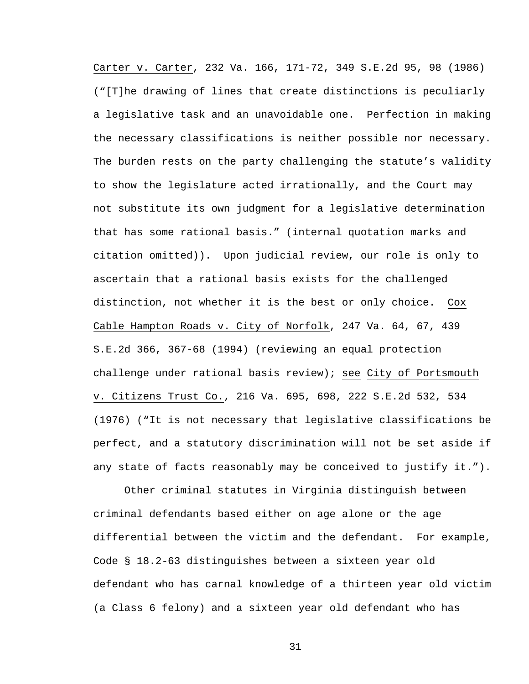Carter v. Carter, 232 Va. 166, 171-72, 349 S.E.2d 95, 98 (1986) ("[T]he drawing of lines that create distinctions is peculiarly a legislative task and an unavoidable one. Perfection in making the necessary classifications is neither possible nor necessary. The burden rests on the party challenging the statute's validity to show the legislature acted irrationally, and the Court may not substitute its own judgment for a legislative determination that has some rational basis." (internal quotation marks and citation omitted)). Upon judicial review, our role is only to ascertain that a rational basis exists for the challenged distinction, not whether it is the best or only choice. Cox Cable Hampton Roads v. City of Norfolk, 247 Va. 64, 67, 439 S.E.2d 366, 367-68 (1994) (reviewing an equal protection challenge under rational basis review); see City of Portsmouth v. Citizens Trust Co., 216 Va. 695, 698, 222 S.E.2d 532, 534 (1976) ("It is not necessary that legislative classifications be perfect, and a statutory discrimination will not be set aside if any state of facts reasonably may be conceived to justify it.").

 Other criminal statutes in Virginia distinguish between criminal defendants based either on age alone or the age differential between the victim and the defendant. For example, Code § 18.2-63 distinguishes between a sixteen year old defendant who has carnal knowledge of a thirteen year old victim (a Class 6 felony) and a sixteen year old defendant who has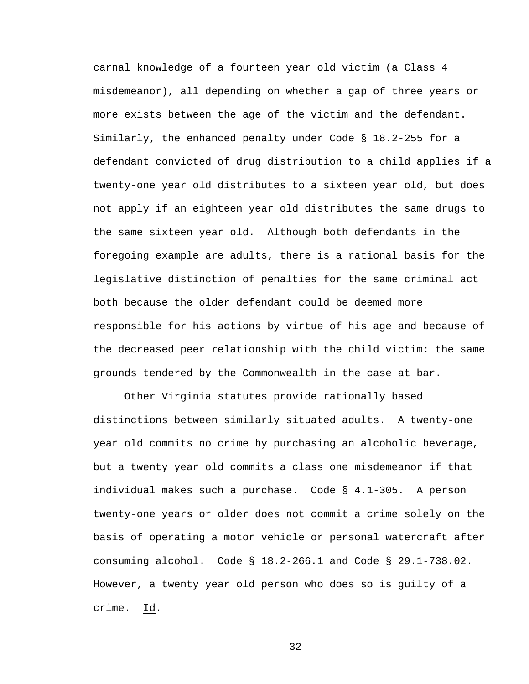carnal knowledge of a fourteen year old victim (a Class 4 misdemeanor), all depending on whether a gap of three years or more exists between the age of the victim and the defendant. Similarly, the enhanced penalty under Code § 18.2-255 for a defendant convicted of drug distribution to a child applies if a twenty-one year old distributes to a sixteen year old, but does not apply if an eighteen year old distributes the same drugs to the same sixteen year old. Although both defendants in the foregoing example are adults, there is a rational basis for the legislative distinction of penalties for the same criminal act both because the older defendant could be deemed more responsible for his actions by virtue of his age and because of the decreased peer relationship with the child victim: the same grounds tendered by the Commonwealth in the case at bar.

 Other Virginia statutes provide rationally based distinctions between similarly situated adults. A twenty-one year old commits no crime by purchasing an alcoholic beverage, but a twenty year old commits a class one misdemeanor if that individual makes such a purchase. Code § 4.1-305. A person twenty-one years or older does not commit a crime solely on the basis of operating a motor vehicle or personal watercraft after consuming alcohol. Code § 18.2-266.1 and Code § 29.1-738.02. However, a twenty year old person who does so is guilty of a crime. Id.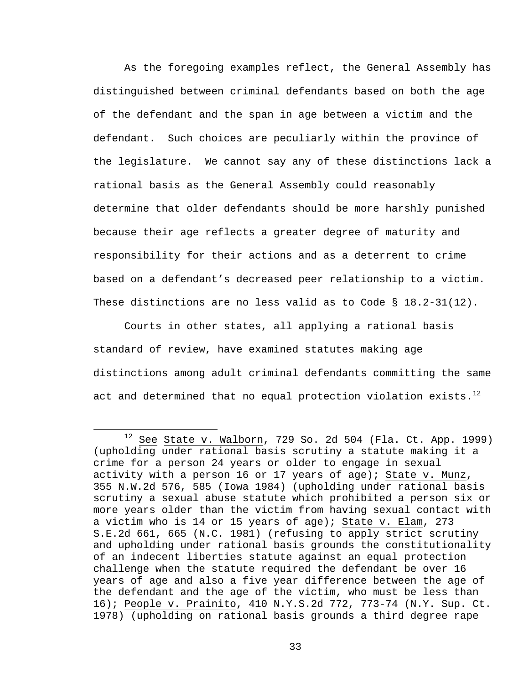As the foregoing examples reflect, the General Assembly has distinguished between criminal defendants based on both the age of the defendant and the span in age between a victim and the defendant. Such choices are peculiarly within the province of the legislature. We cannot say any of these distinctions lack a rational basis as the General Assembly could reasonably determine that older defendants should be more harshly punished because their age reflects a greater degree of maturity and responsibility for their actions and as a deterrent to crime based on a defendant's decreased peer relationship to a victim. These distinctions are no less valid as to Code § 18.2-31(12).

 Courts in other states, all applying a rational basis standard of review, have examined statutes making age distinctions among adult criminal defendants committing the same act and determined that no equal protection violation exists.<sup>12</sup>

 $12$  See State v. Walborn, 729 So. 2d 504 (Fla. Ct. App. 1999) (upholding under rational basis scrutiny a statute making it a crime for a person 24 years or older to engage in sexual activity with a person 16 or 17 years of age); State v. Munz, 355 N.W.2d 576, 585 (Iowa 1984) (upholding under rational basis scrutiny a sexual abuse statute which prohibited a person six or more years older than the victim from having sexual contact with a victim who is 14 or 15 years of age); State v. Elam, 273 S.E.2d 661, 665 (N.C. 1981) (refusing to apply strict scrutiny and upholding under rational basis grounds the constitutionality of an indecent liberties statute against an equal protection challenge when the statute required the defendant be over 16 years of age and also a five year difference between the age of the defendant and the age of the victim, who must be less than 16); People v. Prainito, 410 N.Y.S.2d 772, 773-74 (N.Y. Sup. Ct. 1978) (upholding on rational basis grounds a third degree rape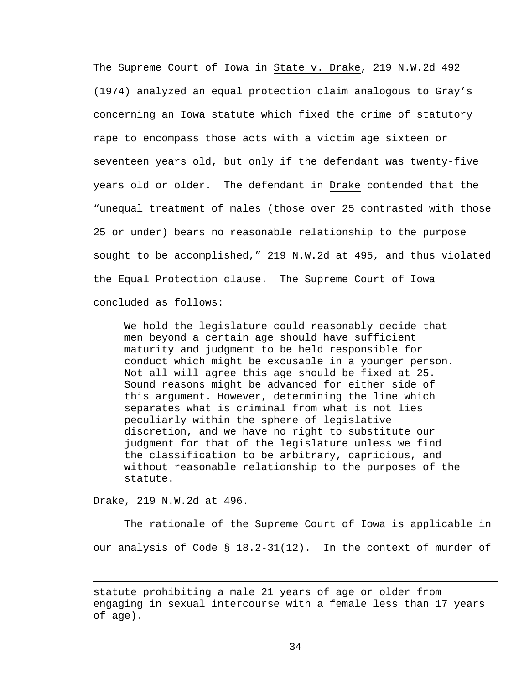The Supreme Court of Iowa in State v. Drake, 219 N.W.2d 492 (1974) analyzed an equal protection claim analogous to Gray's concerning an Iowa statute which fixed the crime of statutory rape to encompass those acts with a victim age sixteen or seventeen years old, but only if the defendant was twenty-five years old or older. The defendant in Drake contended that the "unequal treatment of males (those over 25 contrasted with those 25 or under) bears no reasonable relationship to the purpose sought to be accomplished," 219 N.W.2d at 495, and thus violated the Equal Protection clause. The Supreme Court of Iowa concluded as follows:

We hold the legislature could reasonably decide that men beyond a certain age should have sufficient maturity and judgment to be held responsible for conduct which might be excusable in a younger person. Not all will agree this age should be fixed at 25. Sound reasons might be advanced for either side of this argument. However, determining the line which separates what is criminal from what is not lies peculiarly within the sphere of legislative discretion, and we have no right to substitute our judgment for that of the legislature unless we find the classification to be arbitrary, capricious, and without reasonable relationship to the purposes of the statute.

Drake, 219 N.W.2d at 496.

 $\overline{a}$ 

 The rationale of the Supreme Court of Iowa is applicable in our analysis of Code § 18.2-31(12). In the context of murder of

statute prohibiting a male 21 years of age or older from engaging in sexual intercourse with a female less than 17 years of age).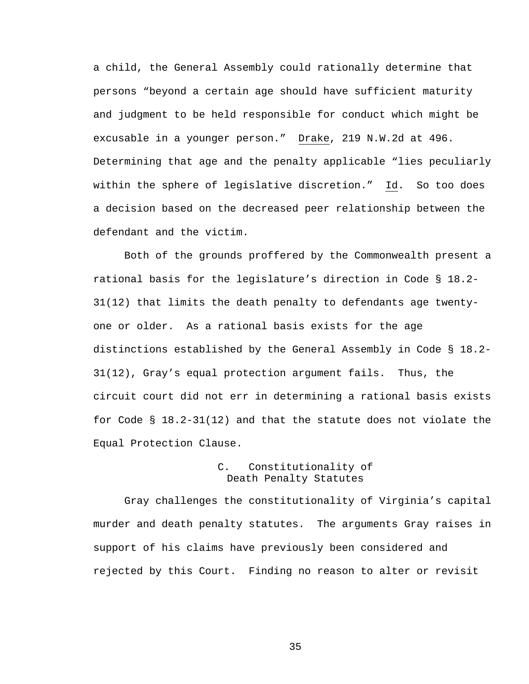a child, the General Assembly could rationally determine that persons "beyond a certain age should have sufficient maturity and judgment to be held responsible for conduct which might be excusable in a younger person." Drake, 219 N.W.2d at 496. Determining that age and the penalty applicable "lies peculiarly within the sphere of legislative discretion." Id. So too does a decision based on the decreased peer relationship between the defendant and the victim.

 Both of the grounds proffered by the Commonwealth present a rational basis for the legislature's direction in Code § 18.2- 31(12) that limits the death penalty to defendants age twentyone or older. As a rational basis exists for the age distinctions established by the General Assembly in Code § 18.2- 31(12), Gray's equal protection argument fails. Thus, the circuit court did not err in determining a rational basis exists for Code § 18.2-31(12) and that the statute does not violate the Equal Protection Clause.

# C. Constitutionality of Death Penalty Statutes

 Gray challenges the constitutionality of Virginia's capital murder and death penalty statutes. The arguments Gray raises in support of his claims have previously been considered and rejected by this Court. Finding no reason to alter or revisit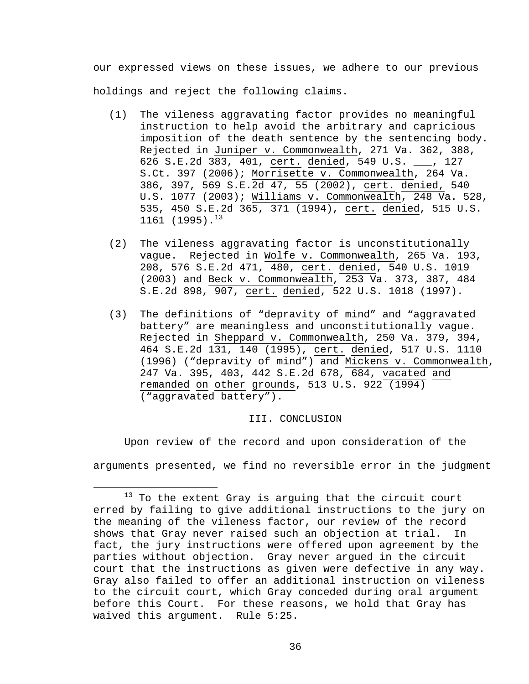our expressed views on these issues, we adhere to our previous holdings and reject the following claims.

- (1) The vileness aggravating factor provides no meaningful instruction to help avoid the arbitrary and capricious imposition of the death sentence by the sentencing body. Rejected in Juniper v. Commonwealth, 271 Va. 362, 388, 626 S.E.2d 383, 401, cert. denied, 549 U.S. \_\_\_, 127 S.Ct. 397 (2006); Morrisette v. Commonwealth, 264 Va. 386, 397, 569 S.E.2d 47, 55 (2002), cert. denied, 540 U.S. 1077 (2003); Williams v. Commonwealth, 248 Va. 528, 535, 450 S.E.2d 365, 371 (1994), cert. denied, 515 U.S.  $1161$  (1995).<sup>13</sup>
- (2) The vileness aggravating factor is unconstitutionally vague. Rejected in Wolfe v. Commonwealth, 265 Va. 193, 208, 576 S.E.2d 471, 480, cert. denied, 540 U.S. 1019 (2003) and Beck v. Commonwealth, 253 Va. 373, 387, 484 S.E.2d 898, 907, cert. denied, 522 U.S. 1018 (1997).
- (3) The definitions of "depravity of mind" and "aggravated battery" are meaningless and unconstitutionally vague. Rejected in Sheppard v. Commonwealth, 250 Va. 379, 394, 464 S.E.2d 131, 140 (1995), cert. denied, 517 U.S. 1110 (1996) ("depravity of mind") and Mickens v. Commonwealth, 247 Va. 395, 403, 442 S.E.2d 678, 684, vacated and remanded on other grounds, 513 U.S. 922 (1994) ("aggravated battery").

#### III. CONCLUSION

Upon review of the record and upon consideration of the

arguments presented, we find no reversible error in the judgment

 $13$  To the extent Gray is arguing that the circuit court erred by failing to give additional instructions to the jury on the meaning of the vileness factor, our review of the record shows that Gray never raised such an objection at trial. In fact, the jury instructions were offered upon agreement by the parties without objection. Gray never argued in the circuit court that the instructions as given were defective in any way. Gray also failed to offer an additional instruction on vileness to the circuit court, which Gray conceded during oral argument before this Court. For these reasons, we hold that Gray has waived this argument. Rule 5:25.